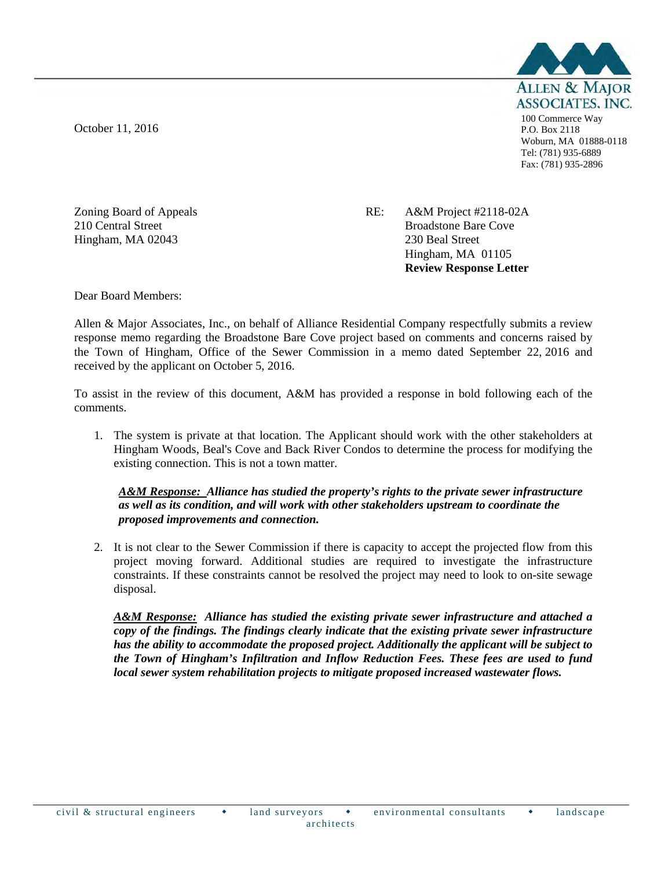October 11, 2016



100 Commerce Way P.O. Box 2118 Woburn, MA 01888-0118 Tel: (781) 935-6889 Fax: (781) 935-2896

Zoning Board of Appeals 210 Central Street Hingham, MA 02043

RE: A&M Project #2118-02A Broadstone Bare Cove 230 Beal Street Hingham, MA 01105 **Review Response Letter** 

Dear Board Members:

Allen & Major Associates, Inc., on behalf of Alliance Residential Company respectfully submits a review response memo regarding the Broadstone Bare Cove project based on comments and concerns raised by the Town of Hingham, Office of the Sewer Commission in a memo dated September 22, 2016 and received by the applicant on October 5, 2016.

To assist in the review of this document, A&M has provided a response in bold following each of the comments.

1. The system is private at that location. The Applicant should work with the other stakeholders at Hingham Woods, Beal's Cove and Back River Condos to determine the process for modifying the existing connection. This is not a town matter.

*A&M Response: Alliance has studied the property's rights to the private sewer infrastructure as well as its condition, and will work with other stakeholders upstream to coordinate the proposed improvements and connection.*

2. It is not clear to the Sewer Commission if there is capacity to accept the projected flow from this project moving forward. Additional studies are required to investigate the infrastructure constraints. If these constraints cannot be resolved the project may need to look to on-site sewage disposal.

*A&M Response: Alliance has studied the existing private sewer infrastructure and attached a copy of the findings. The findings clearly indicate that the existing private sewer infrastructure has the ability to accommodate the proposed project. Additionally the applicant will be subject to the Town of Hingham's Infiltration and Inflow Reduction Fees. These fees are used to fund local sewer system rehabilitation projects to mitigate proposed increased wastewater flows.*